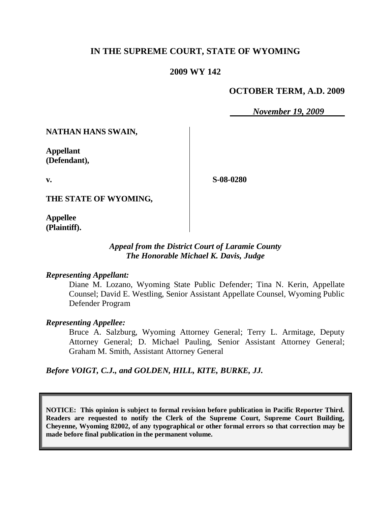# **IN THE SUPREME COURT, STATE OF WYOMING**

#### **2009 WY 142**

#### **OCTOBER TERM, A.D. 2009**

*November 19, 2009*

**NATHAN HANS SWAIN,**

**Appellant (Defendant),**

**v.**

**S-08-0280**

**THE STATE OF WYOMING,**

**Appellee (Plaintiff).**

#### *Appeal from the District Court of Laramie County The Honorable Michael K. Davis, Judge*

#### *Representing Appellant:*

Diane M. Lozano, Wyoming State Public Defender; Tina N. Kerin, Appellate Counsel; David E. Westling, Senior Assistant Appellate Counsel, Wyoming Public Defender Program

#### *Representing Appellee:*

Bruce A. Salzburg, Wyoming Attorney General; Terry L. Armitage, Deputy Attorney General; D. Michael Pauling, Senior Assistant Attorney General; Graham M. Smith, Assistant Attorney General

*Before VOIGT, C.J., and GOLDEN, HILL, KITE, BURKE, JJ.*

**NOTICE: This opinion is subject to formal revision before publication in Pacific Reporter Third. Readers are requested to notify the Clerk of the Supreme Court, Supreme Court Building, Cheyenne, Wyoming 82002, of any typographical or other formal errors so that correction may be made before final publication in the permanent volume.**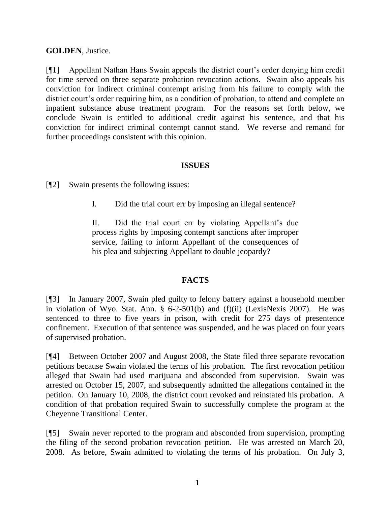# **GOLDEN**, Justice.

[¶1] Appellant Nathan Hans Swain appeals the district court's order denying him credit for time served on three separate probation revocation actions. Swain also appeals his conviction for indirect criminal contempt arising from his failure to comply with the district court's order requiring him, as a condition of probation, to attend and complete an inpatient substance abuse treatment program. For the reasons set forth below, we conclude Swain is entitled to additional credit against his sentence, and that his conviction for indirect criminal contempt cannot stand. We reverse and remand for further proceedings consistent with this opinion.

# **ISSUES**

[¶2] Swain presents the following issues:

I. Did the trial court err by imposing an illegal sentence?

II. Did the trial court err by violating Appellant's due process rights by imposing contempt sanctions after improper service, failing to inform Appellant of the consequences of his plea and subjecting Appellant to double jeopardy?

# **FACTS**

[¶3] In January 2007, Swain pled guilty to felony battery against a household member in violation of Wyo. Stat. Ann. § 6-2-501(b) and (f)(ii) (LexisNexis 2007). He was sentenced to three to five years in prison, with credit for 275 days of presentence confinement. Execution of that sentence was suspended, and he was placed on four years of supervised probation.

[¶4] Between October 2007 and August 2008, the State filed three separate revocation petitions because Swain violated the terms of his probation. The first revocation petition alleged that Swain had used marijuana and absconded from supervision. Swain was arrested on October 15, 2007, and subsequently admitted the allegations contained in the petition. On January 10, 2008, the district court revoked and reinstated his probation. A condition of that probation required Swain to successfully complete the program at the Cheyenne Transitional Center.

[¶5] Swain never reported to the program and absconded from supervision, prompting the filing of the second probation revocation petition. He was arrested on March 20, 2008. As before, Swain admitted to violating the terms of his probation. On July 3,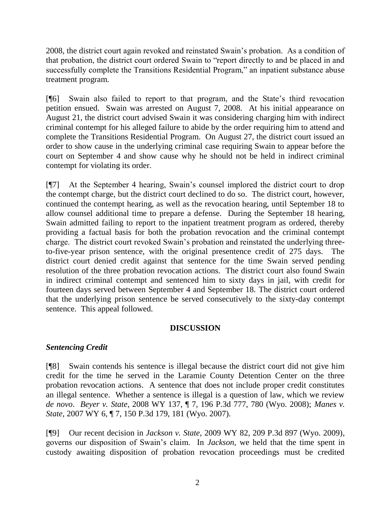2008, the district court again revoked and reinstated Swain's probation. As a condition of that probation, the district court ordered Swain to "report directly to and be placed in and successfully complete the Transitions Residential Program," an inpatient substance abuse treatment program.

[¶6] Swain also failed to report to that program, and the State's third revocation petition ensued. Swain was arrested on August 7, 2008. At his initial appearance on August 21, the district court advised Swain it was considering charging him with indirect criminal contempt for his alleged failure to abide by the order requiring him to attend and complete the Transitions Residential Program. On August 27, the district court issued an order to show cause in the underlying criminal case requiring Swain to appear before the court on September 4 and show cause why he should not be held in indirect criminal contempt for violating its order.

[¶7] At the September 4 hearing, Swain's counsel implored the district court to drop the contempt charge, but the district court declined to do so. The district court, however, continued the contempt hearing, as well as the revocation hearing, until September 18 to allow counsel additional time to prepare a defense. During the September 18 hearing, Swain admitted failing to report to the inpatient treatment program as ordered, thereby providing a factual basis for both the probation revocation and the criminal contempt charge. The district court revoked Swain's probation and reinstated the underlying threeto-five-year prison sentence, with the original presentence credit of 275 days. The district court denied credit against that sentence for the time Swain served pending resolution of the three probation revocation actions. The district court also found Swain in indirect criminal contempt and sentenced him to sixty days in jail, with credit for fourteen days served between September 4 and September 18. The district court ordered that the underlying prison sentence be served consecutively to the sixty-day contempt sentence. This appeal followed.

# **DISCUSSION**

# *Sentencing Credit*

[¶8] Swain contends his sentence is illegal because the district court did not give him credit for the time he served in the Laramie County Detention Center on the three probation revocation actions. A sentence that does not include proper credit constitutes an illegal sentence. Whether a sentence is illegal is a question of law, which we review *de novo*. *Beyer v. State*, 2008 WY 137, ¶ 7, 196 P.3d 777, 780 (Wyo. 2008); *Manes v. State*, 2007 WY 6, ¶ 7, 150 P.3d 179, 181 (Wyo. 2007).

[¶9] Our recent decision in *Jackson v. State*, 2009 WY 82, 209 P.3d 897 (Wyo. 2009), governs our disposition of Swain's claim. In *Jackson*, we held that the time spent in custody awaiting disposition of probation revocation proceedings must be credited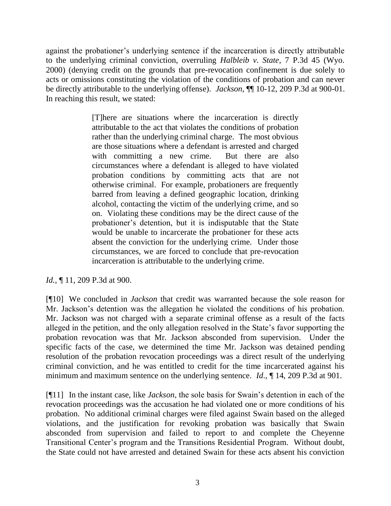against the probationer's underlying sentence if the incarceration is directly attributable to the underlying criminal conviction, overruling *Halbleib v. State*, 7 P.3d 45 (Wyo. 2000) (denying credit on the grounds that pre-revocation confinement is due solely to acts or omissions constituting the violation of the conditions of probation and can never be directly attributable to the underlying offense). *Jackson*, ¶¶ 10-12, 209 P.3d at 900-01. In reaching this result, we stated:

> [T]here are situations where the incarceration is directly attributable to the act that violates the conditions of probation rather than the underlying criminal charge. The most obvious are those situations where a defendant is arrested and charged with committing a new crime. But there are also circumstances where a defendant is alleged to have violated probation conditions by committing acts that are not otherwise criminal. For example, probationers are frequently barred from leaving a defined geographic location, drinking alcohol, contacting the victim of the underlying crime, and so on. Violating these conditions may be the direct cause of the probationer's detention, but it is indisputable that the State would be unable to incarcerate the probationer for these acts absent the conviction for the underlying crime. Under those circumstances, we are forced to conclude that pre-revocation incarceration is attributable to the underlying crime.

# *Id.*, ¶ 11, 209 P.3d at 900.

[¶10] We concluded in *Jackson* that credit was warranted because the sole reason for Mr. Jackson's detention was the allegation he violated the conditions of his probation. Mr. Jackson was not charged with a separate criminal offense as a result of the facts alleged in the petition, and the only allegation resolved in the State's favor supporting the probation revocation was that Mr. Jackson absconded from supervision. Under the specific facts of the case, we determined the time Mr. Jackson was detained pending resolution of the probation revocation proceedings was a direct result of the underlying criminal conviction, and he was entitled to credit for the time incarcerated against his minimum and maximum sentence on the underlying sentence. *Id*., ¶ 14, 209 P.3d at 901.

[¶11] In the instant case, like *Jackson*, the sole basis for Swain's detention in each of the revocation proceedings was the accusation he had violated one or more conditions of his probation. No additional criminal charges were filed against Swain based on the alleged violations, and the justification for revoking probation was basically that Swain absconded from supervision and failed to report to and complete the Cheyenne Transitional Center's program and the Transitions Residential Program. Without doubt, the State could not have arrested and detained Swain for these acts absent his conviction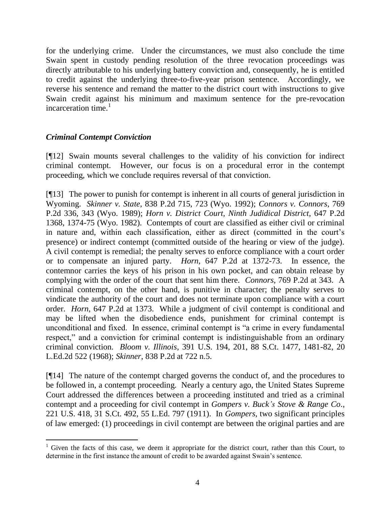for the underlying crime. Under the circumstances, we must also conclude the time Swain spent in custody pending resolution of the three revocation proceedings was directly attributable to his underlying battery conviction and, consequently, he is entitled to credit against the underlying three-to-five-year prison sentence. Accordingly, we reverse his sentence and remand the matter to the district court with instructions to give Swain credit against his minimum and maximum sentence for the pre-revocation incarceration time. $<sup>1</sup>$ </sup>

# *Criminal Contempt Conviction*

 $\overline{a}$ 

[¶12] Swain mounts several challenges to the validity of his conviction for indirect criminal contempt. However, our focus is on a procedural error in the contempt proceeding, which we conclude requires reversal of that conviction.

[¶13] The power to punish for contempt is inherent in all courts of general jurisdiction in Wyoming. *Skinner v. State*, 838 P.2d 715, 723 (Wyo. 1992); *Connors v. Connors*, 769 P.2d 336, 343 (Wyo. 1989); *Horn v. District Court, Ninth Judidical District*, 647 P.2d 1368, 1374-75 (Wyo. 1982). Contempts of court are classified as either civil or criminal in nature and, within each classification, either as direct (committed in the court's presence) or indirect contempt (committed outside of the hearing or view of the judge). A civil contempt is remedial; the penalty serves to enforce compliance with a court order or to compensate an injured party. *Horn*, 647 P.2d at 1372-73. In essence, the contemnor carries the keys of his prison in his own pocket, and can obtain release by complying with the order of the court that sent him there. *Connors*, 769 P.2d at 343. A criminal contempt, on the other hand, is punitive in character; the penalty serves to vindicate the authority of the court and does not terminate upon compliance with a court order. *Horn*, 647 P.2d at 1373. While a judgment of civil contempt is conditional and may be lifted when the disobedience ends, punishment for criminal contempt is unconditional and fixed. In essence, criminal contempt is "a crime in every fundamental respect," and a conviction for criminal contempt is indistinguishable from an ordinary criminal conviction. *Bloom v. Illinois*, 391 U.S. 194, 201, 88 S.Ct. 1477, 1481-82, 20 L.Ed.2d 522 (1968); *Skinner*, 838 P.2d at 722 n.5.

[¶14] The nature of the contempt charged governs the conduct of, and the procedures to be followed in, a contempt proceeding. Nearly a century ago, the United States Supreme Court addressed the differences between a proceeding instituted and tried as a criminal contempt and a proceeding for civil contempt in *Gompers v. Buck's Stove & Range Co*., 221 U.S. 418, 31 S.Ct. 492, 55 L.Ed. 797 (1911). In *Gompers*, two significant principles of law emerged: (1) proceedings in civil contempt are between the original parties and are

<sup>&</sup>lt;sup>1</sup> Given the facts of this case, we deem it appropriate for the district court, rather than this Court, to determine in the first instance the amount of credit to be awarded against Swain's sentence.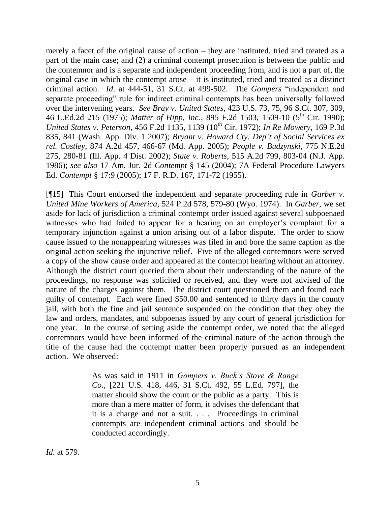merely a facet of the original cause of action – they are instituted, tried and treated as a part of the main case; and (2) a criminal contempt prosecution is between the public and the contemnor and is a separate and independent proceeding from, and is not a part of, the original case in which the contempt arose – it is instituted, tried and treated as a distinct criminal action. *Id*. at 444-51, 31 S.Ct. at 499-502. The *Gompers* "independent and separate proceeding" rule for indirect criminal contempts has been universally followed over the intervening years. *See Bray v. United States*, 423 U.S. 73, 75, 96 S.Ct. 307, 309, 46 L.Ed.2d 215 (1975); *Matter of Hipp, Inc.*, 895 F.2d 1503, 1509-10 (5<sup>th</sup> Cir. 1990); *United States v. Peterson*, 456 F.2d 1135, 1139 (10<sup>th</sup> Cir. 1972); *In Re Mowery*, 169 P.3d 835, 841 (Wash. App. Div. 1 2007); *Bryant v. Howard Cty. Dep't of Social Services ex rel. Costley*, 874 A.2d 457, 466-67 (Md. App. 2005); *People v. Budzynski*, 775 N.E.2d 275, 280-81 (Ill. App. 4 Dist. 2002); *State v. Roberts*, 515 A.2d 799, 803-04 (N.J. App. 1986); *see also* 17 Am. Jur. 2d *Contempt* § 145 (2004); 7A Federal Procedure Lawyers Ed. *Contempt* § 17:9 (2005); 17 F. R.D. 167, 171-72 (1955).

[¶15] This Court endorsed the independent and separate proceeding rule in *Garber v. United Mine Workers of America*, 524 P.2d 578, 579-80 (Wyo. 1974). In *Garber*, we set aside for lack of jurisdiction a criminal contempt order issued against several subpoenaed witnesses who had failed to appear for a hearing on an employer's complaint for a temporary injunction against a union arising out of a labor dispute. The order to show cause issued to the nonappearing witnesses was filed in and bore the same caption as the original action seeking the injunctive relief. Five of the alleged contemnors were served a copy of the show cause order and appeared at the contempt hearing without an attorney. Although the district court queried them about their understanding of the nature of the proceedings, no response was solicited or received, and they were not advised of the nature of the charges against them. The district court questioned them and found each guilty of contempt. Each were fined \$50.00 and sentenced to thirty days in the county jail, with both the fine and jail sentence suspended on the condition that they obey the law and orders, mandates, and subpoenas issued by any court of general jurisdiction for one year. In the course of setting aside the contempt order, we noted that the alleged contemnors would have been informed of the criminal nature of the action through the title of the cause had the contempt matter been properly pursued as an independent action. We observed:

> As was said in 1911 in *Gompers v. Buck's Stove & Range Co.*, [221 U.S. 418, 446, 31 S.Ct. 492, 55 L.Ed. 797], the matter should show the court or the public as a party. This is more than a mere matter of form, it advises the defendant that it is a charge and not a suit. . . . Proceedings in criminal contempts are independent criminal actions and should be conducted accordingly.

*Id*. at 579.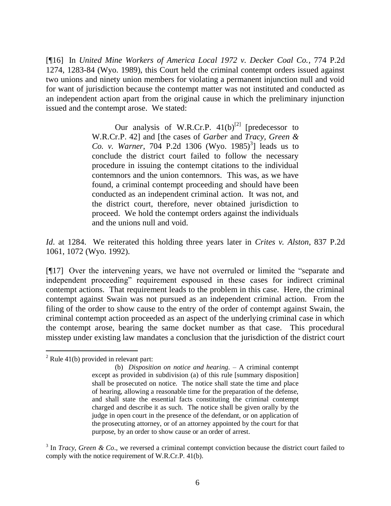[¶16] In *United Mine Workers of America Local 1972 v. Decker Coal Co.*, 774 P.2d 1274, 1283-84 (Wyo. 1989), this Court held the criminal contempt orders issued against two unions and ninety union members for violating a permanent injunction null and void for want of jurisdiction because the contempt matter was not instituted and conducted as an independent action apart from the original cause in which the preliminary injunction issued and the contempt arose. We stated:

> Our analysis of W.R.Cr.P.  $41(b)^{[2]}$  [predecessor to W.R.Cr.P. 42] and [the cases of *Garber* and *Tracy, Green &*  Co. v. Warner, 704 P.2d 1306 (Wyo. 1985)<sup>3</sup>] leads us to conclude the district court failed to follow the necessary procedure in issuing the contempt citations to the individual contemnors and the union contemnors. This was, as we have found, a criminal contempt proceeding and should have been conducted as an independent criminal action. It was not, and the district court, therefore, never obtained jurisdiction to proceed. We hold the contempt orders against the individuals and the unions null and void.

*Id*. at 1284. We reiterated this holding three years later in *Crites v. Alston*, 837 P.2d 1061, 1072 (Wyo. 1992).

[¶17] Over the intervening years, we have not overruled or limited the "separate and independent proceeding" requirement espoused in these cases for indirect criminal contempt actions. That requirement leads to the problem in this case. Here, the criminal contempt against Swain was not pursued as an independent criminal action. From the filing of the order to show cause to the entry of the order of contempt against Swain, the criminal contempt action proceeded as an aspect of the underlying criminal case in which the contempt arose, bearing the same docket number as that case. This procedural misstep under existing law mandates a conclusion that the jurisdiction of the district court

 $\overline{a}$ 

 $2$  Rule 41(b) provided in relevant part:

<sup>(</sup>b) *Disposition on notice and hearing*. – A criminal contempt except as provided in subdivision (a) of this rule [summary disposition] shall be prosecuted on notice. The notice shall state the time and place of hearing, allowing a reasonable time for the preparation of the defense, and shall state the essential facts constituting the criminal contempt charged and describe it as such. The notice shall be given orally by the judge in open court in the presence of the defendant, or on application of the prosecuting attorney, or of an attorney appointed by the court for that purpose, by an order to show cause or an order of arrest.

 $3$  In *Tracy, Green & Co.*, we reversed a criminal contempt conviction because the district court failed to comply with the notice requirement of W.R.Cr.P. 41(b).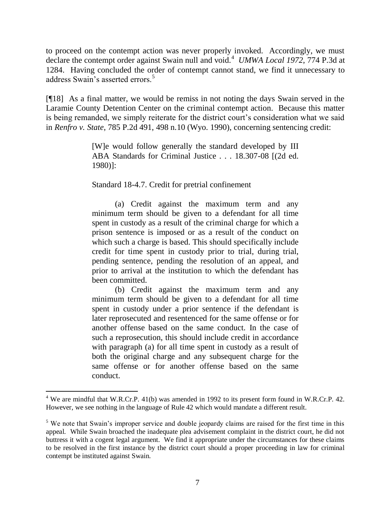to proceed on the contempt action was never properly invoked. Accordingly, we must declare the contempt order against Swain null and void.<sup>4</sup> *UMWA Local 1972*, 774 P.3d at 1284. Having concluded the order of contempt cannot stand, we find it unnecessary to address Swain's asserted errors.<sup>5</sup>

[¶18] As a final matter, we would be remiss in not noting the days Swain served in the Laramie County Detention Center on the criminal contempt action. Because this matter is being remanded, we simply reiterate for the district court's consideration what we said in *Renfro v. State*, 785 P.2d 491, 498 n.10 (Wyo. 1990), concerning sentencing credit:

> [W]e would follow generally the standard developed by III ABA Standards for Criminal Justice . . . 18.307-08 [(2d ed. 1980)]:

Standard 18-4.7. Credit for pretrial confinement

(a) Credit against the maximum term and any minimum term should be given to a defendant for all time spent in custody as a result of the criminal charge for which a prison sentence is imposed or as a result of the conduct on which such a charge is based. This should specifically include credit for time spent in custody prior to trial, during trial, pending sentence, pending the resolution of an appeal, and prior to arrival at the institution to which the defendant has been committed.

(b) Credit against the maximum term and any minimum term should be given to a defendant for all time spent in custody under a prior sentence if the defendant is later reprosecuted and resentenced for the same offense or for another offense based on the same conduct. In the case of such a reprosecution, this should include credit in accordance with paragraph (a) for all time spent in custody as a result of both the original charge and any subsequent charge for the same offense or for another offense based on the same conduct.

 $\overline{a}$ 

<sup>&</sup>lt;sup>4</sup> We are mindful that W.R.Cr.P. 41(b) was amended in 1992 to its present form found in W.R.Cr.P. 42. However, we see nothing in the language of Rule 42 which would mandate a different result.

<sup>&</sup>lt;sup>5</sup> We note that Swain's improper service and double jeopardy claims are raised for the first time in this appeal. While Swain broached the inadequate plea advisement complaint in the district court, he did not buttress it with a cogent legal argument. We find it appropriate under the circumstances for these claims to be resolved in the first instance by the district court should a proper proceeding in law for criminal contempt be instituted against Swain.